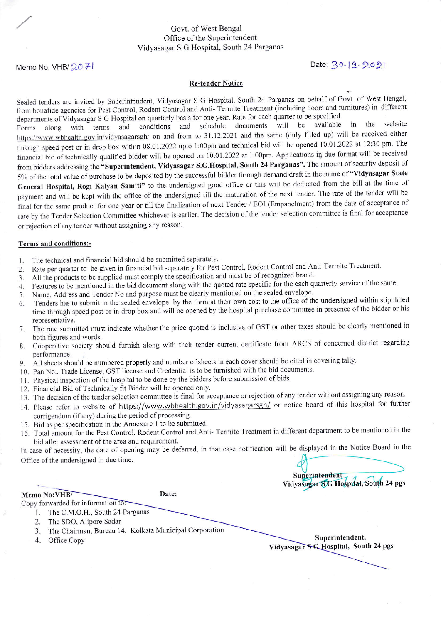### Govt. of West Bengal Office of the Superintendent Vidyasagar S G Hospital, South 24 Parganas

# Memo No. VHB/ 20 7-1

#### Re-tender Notice

Sealed tenders are invited by Superintendent, Vidyasagar S G Hospital, South 24 Parganas on behalf of Govt. of West Bengal, from bonafide agencies for Pest Control, Rodent Control and Anti- Termite Treatment (including doors and furnitures) in different

departments of Vidyasagar S G Hospital on quarterly basis for one year. Rate for each quarter to be specified.<br>Forms along with terms and conditions and schedule documents will be available along with terms and conditions and schedule documents will be available in the website https://www.wbhealth.gov.in/vidyasagarsgh/ on and from to 31.12.2021 and the same (duly filled up) will be received either through speed post or in drop box within 08.01.2022 upto 1:00pm and technical bid will be opened 10.01.2022 at 12:30 pm. The financial bid oftechnically qualified bidder will be opened on 10.01.2022 at l:00pm. Applications in due format will be received from bidders addressing the "Superintendent, Vidyasagar S.G.Hospital, South 24 Parganas". The amount of security deposit of 5% of the total value of purchase to be deposited by the successful bidder through demand draft in the name of "Vidyasagar State Generat Hospital, Rogi Kalyan Samiti" to the undersigned good office or this will be deducted from the bill at the time of payment and will be kept with the office of the undersigned till the maturation of the next tender. The rate of the tender will be final for the same product for one year or till the finalization of next Tender / EOI (Empanelment) from the date of acceptance of rate by the Tender Selection Committee whichever is earlier. The decision of the tender selection committee is final for acceptance or rejection of any tender without assigning any reason.

#### Terms and conditions:-

- 1. The technical and financial bid should be submitted separately.
- 2. Rate per quarter to be given in financial bid separately for Pest Control, Rodent Control and Anti-Termite Treatment.
- 3. All the products to be supplied must comply the specification and must be of recognized brand.
- 4. Features to be mentioned in the bid document along with the quoted rate specific for the each quarterly service of the same.
- 5. Name, Address and Tender No and purpose must be clearly mentioned on the sealed envelope.
- 6. Tenders has to submit in the sealed envelope by the form at their own cost to the office of the undersigned within stipulated time through speed post or in drop box and will be opened by the hospital purchase committee in presence of the bidder or his representative.
- 7. The rate submitted must indicate whether the price quoted is inclusive of GST or other taxes should be clearly mentioned in both figures and words.
- 8. Cooperative society should furnish along with their tender current certificate from ARCS of concerned district regarding performance,
- 9. All sheets should be numbered properly and number of sheets in each cover should be cited in covering tally.
- 10. Pan No.. Trade License, GST license and Credential is to be furnished with the bid documents.
- 11. Physical inspection of the hospital to be done by the bidders before submission of bids
- 12. Financial Bid of Technically fit Bidder will be opened only.
- 13. The decision of the tender selection committee is final for acceptance or rejection of any tender without assigning any reason.
- 14. Please refer to website of https://www.wbhealth.gov.in/vidyasagarsgh/ or notice board of this hospital for further corrigendum (if any) during the period of processing.
- 15. Bid as per specification in the Annexure 1 to be submitted
- 16. Total amount for the Pest Control, Rodent Control and Anti- Termite Treatment in different department to be mentioned in the bid after assessment of the area and requirement.

In case of necessity, the date of opening may be deferred, in that case notification will be displayed in the Notice Board in the Office of the undersigned in due time.

Superintendent Vidyasagar SG Hospital, South 24 pgs

Memo No: VHB/

Date:

- Copy forwarded for information to: 1. The C.M.O.H., South 24 Parganas
	- 2. The SDO, Alipore Sadar
	- 3. The Chairman, Bureau 14, Kolkata Municipal Corporation
	-

4. Office Copy Superintendent, Vidyasagar SC Hospital, South 24 pgs